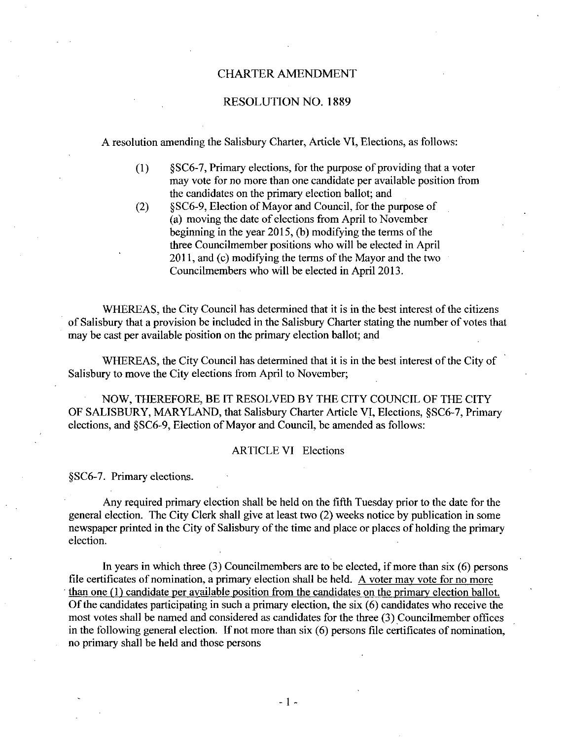#### CHARTER AMENDMENT

#### RESOLUTION NO. 1889

A resolution amending the Salisbury Charter, Article VI, Elections, as follows:

- 11 ution amending the Salisbury Charter, Article VI, Elections, as follows:<br>
12 § SC6-7, Primary elections, for the purpose of providing that a voter<br>
13 may vote for no more than one candidate per available position from may vote for no more than one candidate per available position from the candidates on the primary election ballot; and  $\S C6-9$ , Election of Mayor and Council, for the purpose of 2 SSC6-7, Primary elections, for the purpose of providing that<br>
2 may vote for no more than one candidate per available posi<br>
2 the candidates on the primary election ballot; and<br>
2 SSC6-9, Election of Mayor and Council,
- (a) moving the date of elections from April to November beginning in the year  $2015$ , (b) modifying the terms of the three Councilmember positions who will be elected in April  $2011$ , and (c) modifying the terms of the Mayor and the two Councilmembers who will be elected in Apri12013

WHEREAS, the City Council has determined that it is in the best interest of the citizens of Salisbury that a provision be included in the Salisbury Charter stating the number of votes that may be cast per available position on the primary election ballot; and

WHEREAS, the City Council has determined that it is in the best interest of the City of Salisbury to move the City elections from April to November

NOW, THEREFORE, BE IT RESOLVED BY THE CITY COUNCIL OF THE CITY Salisbury to move the City elections from April to November;<br>NOW, THEREFORE, BE IT RESOLVED BY THE CITY COUNCIL OF THE CITY<br>OF SALISBURY, MARYLAND, that Salisbury Charter Article VI, Elections, §SC6-7, Primary<br>elections, a NOW, THEREFORE, BE IT RESOLVED BY THE CITY COUNCIL OF SALISBURY, MARYLAND, that Salisbury Charter Article VI, Elections, elections, and §SC6-9, Election of Mayor and Council, be amended as follows: elections, and §SC6-9, Election of Mayor and Council, be amended as follows:<br>ARTICLE VI Elections<br>§SC6-7. Primary elections.

#### ARTICLE VI Elections

Any required primary election shall be held on the fifth Tuesday prior to the date for the general election. The City Clerk shall give at least two (2) weeks notice by publication in some newspaper printed in the City of Salisbury of the time and place or places of holding the primary election

In years in which three  $(3)$  Councilmembers are to be elected, if more than six  $(6)$  persons file certificates of nomination, a primary election shall be held. A voter may vote for no more than one  $(1)$  candidate per available position from the candidates on the primary election ballot. Of the candidates participating in such a primary election, the six  $(6)$  candidates who receive the Of the candidates participating in such a primary election, the six  $(0)$  candidates who receive the most votes shall be named and considered as candidates for the three  $(3)$  Councilmember offices in the following general election. If not more than  $six$  (6) persons file certificates of nomination, no primary shall be held and those persons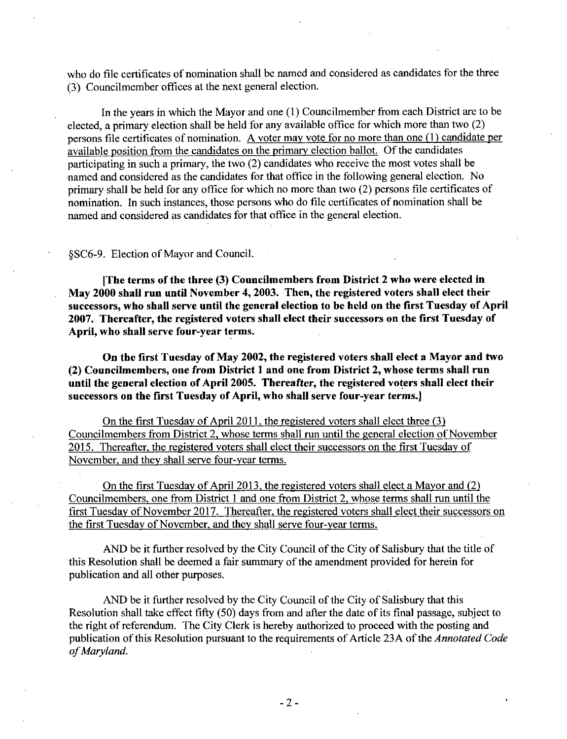who do file certificates of nomination shall be named and considered as candidates for the three who do the certificates of homination shall be halfled as<br>(3) Councilmember offices at the next general election

In the years in which the Mayor and one  $(1)$  Councilmember from each District are to be elected, a primary election shall be held for any available office for which more than two  $(2)$ persons file certificates of nomination. A voter may vote for no more than one  $(1)$  candidate per available position from the candidates on the primary election ballot. Of the candidates available position from the candidates on the primary election ballot. Of the candidates<br>participating in such a primary, the two (2) candidates who receive the most votes shall be named and considered as the candidates for that office in the following general election. No primary shall be held for any office for which no more than two  $(2)$  persons file certificates of nomination. In such instances, those persons who do file certificates of nomination shall be named and considered as candidates for that office in the general election<br>
§SC6-9. Election of Mayor and Council.

[The terms of the three (3) Councilmembers from District 2 who were elected in May 2000 shall run until November 4, 2003. Then, the registered voters shall elect their successors, who shall serve until the general election to be held on the first Tuesday of April 2007. Thereafter, the registered voters shall elect their successors on the first Tuesday of April, who shall serve four-year terms.

On the first Tuesday of May 2002, the registered voters shall elect a Mayor and two (2) Councilmembers, one from District 1 and one from District 2, whose terms shall run until the general election of April 2005. Thereafter, the registered voters shall elect their successors on the first Tuesday of April, who shall serve four-year terms.]

On the first Tuesday of April 2011, the registered voters shall elect three (3) Councilmembers from District 2, whose terms shall run until the general election of November 2015. Thereafter, the registered voters shall elect their successors on the first Tuesday of November, and they shall serve four-year terms.

On the first Tuesday of April 2013, the registered voters shall elect a Mayor and  $(2)$ Councilmembers, one from District 1 and one from District 2, whose terms shall run until the first Tuesday of November 2017. Thereafter, the registered voters shall elect their successors on the first Tuesday of November, and they shall serve four-year terms.

AND be it further resolved by the City Council of the City of Salisbury that the title of this Resolution shall be deemed a fair summary of the amendment provided for herein for publication and all other purposes

AND be it further resolved by the City Council of the City of Salisbury that this Resolution shall take effect fifty (50) days from and after the date of its final passage, subject to the right of referendum. The City Clerk is hereby authorized to proceed with the posting and publication of this Resolution pursuant to the requirements of Article 23A of the Annotated Code of Maryland.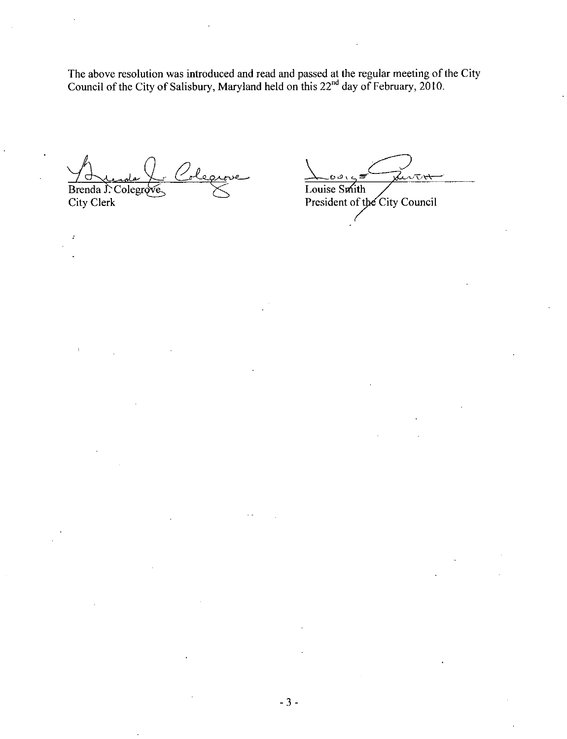The above resolution was introduced and read and passed at the regular meeting of the City Council of the City of Salisbury, Maryland held on this 22<sup>nd</sup> day of February, 2010.

Brenda J. Colegrove City Clerk

 $\mathbf{r}$ 

ىيەر Louise Smith President of the City Council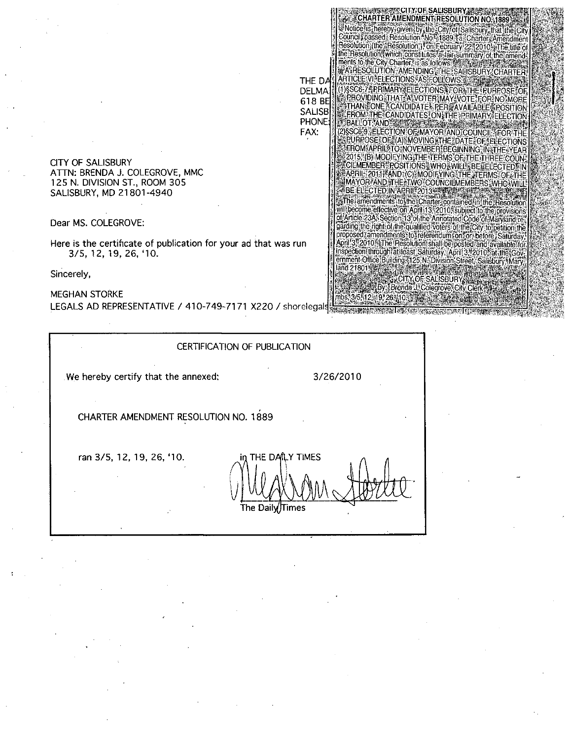CITY OF SALISBURY ATTN: BRENDA J. COLEGROVE, MMC 125 N. DIVISION ST., ROOM 305 SALISBURY, MD 21801-4940

Dear MS. COLEGROVE:

Here is the certificate of publication for your ad that wi<br>3/5, 12, 19, 26, '10.

Sincerely,

MEGHAN STORKE LEGALS AD REPRESENTATIVE / 410-749-7171 X220 / shorelegals XILS AD REPRESENTATIVE / 410-749-7171 X220 / shorelegals and MERTIFICATION CERTIFICATION OF PUBLICATION

#### CERTIFICATION OF PUBLICATION

and 21801 - 21

ФF.

THE DA

**DELMA** 618 BE

**SALISB** 

PHONE:

FAX:

**CITY OF SALISBURY SE** CHARTER AMENDMENT RESOLUTION NO. 1889 Wolte is nereby given by the City for Salisbury that the City<br>Council passed Resolution No - 1889, fa, Charlery Amendment

Council Dassed Hesolution No. 1889; a Charler Amendment<br>The Solution (the "Resolution"), on February 22, 2010; a The title of<br>The The Solution (which constitutes a Jair summary of the amend-<br>The IS to the Child Child Child A RESOLUTION: AMENDING THE SAUISBURY CHARTER RTICLE VI LELECTIONS AS FOLLOWS . A LAND CALL

1) SSC6-7, PRIMARY ELECTIONS, FOR THE PURPOSE OF<br>A PROVIDING THAT A VOTER MAY VOTE FOR NO MORE

THAN TONE CANDIDATE FER AVAILABLE FOSITION

**EROM THE CANDIDATES ON THE PRIMARY ELECTION** 

2) SC6-9, ELECTION OF MAYOR AND COUNCIL FOR THE

PURPOSE OF (A) MOVING THE DATE OF FILECTIONS FROM APRIL TO INOVEMBER BEGINNING, IN THE YEAR 2015, (B) MODIFYING THE TERMS OF THE THREE COUNTY APRIL 2011 AND (C) MODIE YING THE TERMS OF THE MAYOR/AND THE TWO COUNCILMEMBERS, WHO WILL

Ill become effective on April 13, 2010, subject to the provisions of Article.23As Section:13 of the Annotated Code of Maryland re-<br>garding the right of the qualified voters of the City to petition the<br>proposed amendments to referendum ion for before. Saturday April 3, 2010. The Resolution shall be posted and available for inspection through at least Saturday, April 3, 2010, at the Gov<br>emment Office Building 5125 N. Division Street, Salisbury, Mary

> CITY OF SALISBURY Brenda J. Colegrove, City Clerk

> > থকৰে বিশ

Resolution

**E BALLOT AND THEFT** 

BE ELECTED IN APRIL 2013 IN

the amendments to the Charter contained in the

CHARTER AMENDMENT RESOLUTION NO. 1889

ran 3/5, 12, 19, 26, '10. THE DAILY TIMES  $\mathsf{V}\,$ Times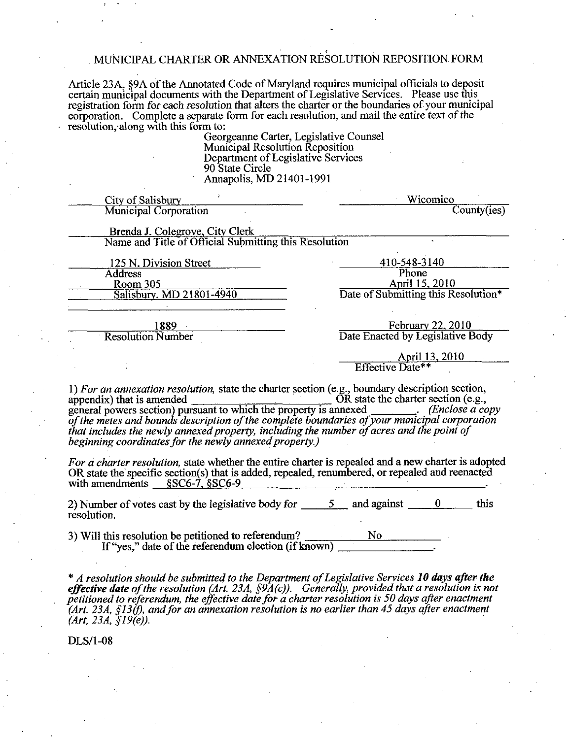### MUNICIPAL CHARTER OR ANNEXATION RESOLUTION REPOSITION FORM

Article 23A, §9A of the Annotated Code of Maryland requires municipal officials to deposit<br>certain municipal documents with the Department of Legislative Services. Please use this<br>registration form for each resolution that corporation. Complete a separate form for each resolution, and mail the entire text of the resolution, along with this form to:

Georgeanne Carter, Legislative Counsel Mumcipal Resolution Reposition Department ofLegislative Services 90 State Circle Mution that alters the charter contains and the charter of each resolution m to:<br>
Georgeanne Carter, Legislative Municipal Resolution Reposition<br>
Department of Legislative Se<br>
90 State Circle<br>
Annapolis, MD 21401-1991

| City of Salisbury                                                                                                                                                                                                                                                                                                    | Wicomico                                                                                         |
|----------------------------------------------------------------------------------------------------------------------------------------------------------------------------------------------------------------------------------------------------------------------------------------------------------------------|--------------------------------------------------------------------------------------------------|
| <b>Municipal Corporation</b>                                                                                                                                                                                                                                                                                         | County(ies)                                                                                      |
| Brenda J. Colegrove, City Clerk                                                                                                                                                                                                                                                                                      |                                                                                                  |
| Name and Title of Official Submitting this Resolution                                                                                                                                                                                                                                                                |                                                                                                  |
|                                                                                                                                                                                                                                                                                                                      | 410-548-3140                                                                                     |
| 125 N. Division Street<br><b>Address</b>                                                                                                                                                                                                                                                                             | Phone                                                                                            |
| Room 305                                                                                                                                                                                                                                                                                                             | April 15, 2010                                                                                   |
| Salisbury, MD 21801-4940                                                                                                                                                                                                                                                                                             | Date of Submitting this Resolution*                                                              |
|                                                                                                                                                                                                                                                                                                                      |                                                                                                  |
| 1889 — 1889 — 1890 — 1890 — 1890 — 1890 — 1890 — 1890 — 1890 — 1890 — 1890 — 1890 — 1890 — 1890 — 1890 — 1<br><b>Resolution Number</b>                                                                                                                                                                               | February 22, 2010<br>Date Enacted by Legislative Body                                            |
|                                                                                                                                                                                                                                                                                                                      |                                                                                                  |
|                                                                                                                                                                                                                                                                                                                      | April 13, 2010<br>Effective Date**                                                               |
|                                                                                                                                                                                                                                                                                                                      |                                                                                                  |
| beginning coordinates for the newly annexed property.)<br>For a charter resolution, state whether the entire charter is repealed and a new charter is adopted<br>OR state the specific section(s) that is added, repealed, renumbered, or repealed and reenacted<br>with amendments $\SSC6-7$ , $\S SC6-9$           |                                                                                                  |
| 2) Number of votes cast by the legislative body for $\frac{5}{2}$ and against $\frac{0}{2}$<br>resolution.                                                                                                                                                                                                           | this                                                                                             |
| 3) Will this resolution be petitioned to referendum? $\frac{N_0}{N_1 + N_2 + N_3 + N_4}$                                                                                                                                                                                                                             |                                                                                                  |
| * A resolution should be submitted to the Department of Legislative Services 10 days after the<br><b>effective date</b> of the resolution (Art. 23A, $\hat{S}9A(c)$ ). Generally, provided that a resolution is not petitioned to referendum, the effective date for a charter resolution is 50 days after enactment | $(Art. 23A, $130)$ , and for an annexation resolution is no earlier than 45 days after enactment |